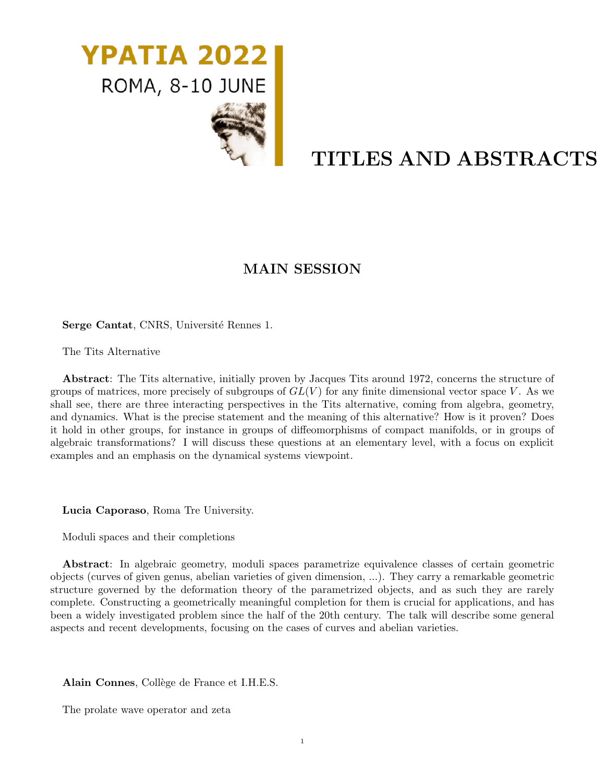

# TITLES AND ABSTRACTS

# MAIN SESSION

Serge Cantat, CNRS, Université Rennes 1.

The Tits Alternative

Abstract: The Tits alternative, initially proven by Jacques Tits around 1972, concerns the structure of groups of matrices, more precisely of subgroups of  $GL(V)$  for any finite dimensional vector space V. As we shall see, there are three interacting perspectives in the Tits alternative, coming from algebra, geometry, and dynamics. What is the precise statement and the meaning of this alternative? How is it proven? Does it hold in other groups, for instance in groups of diffeomorphisms of compact manifolds, or in groups of algebraic transformations? I will discuss these questions at an elementary level, with a focus on explicit examples and an emphasis on the dynamical systems viewpoint.

Lucia Caporaso, Roma Tre University.

Moduli spaces and their completions

Abstract: In algebraic geometry, moduli spaces parametrize equivalence classes of certain geometric objects (curves of given genus, abelian varieties of given dimension, ...). They carry a remarkable geometric structure governed by the deformation theory of the parametrized objects, and as such they are rarely complete. Constructing a geometrically meaningful completion for them is crucial for applications, and has been a widely investigated problem since the half of the 20th century. The talk will describe some general aspects and recent developments, focusing on the cases of curves and abelian varieties.

Alain Connes, Collège de France et I.H.E.S.

The prolate wave operator and zeta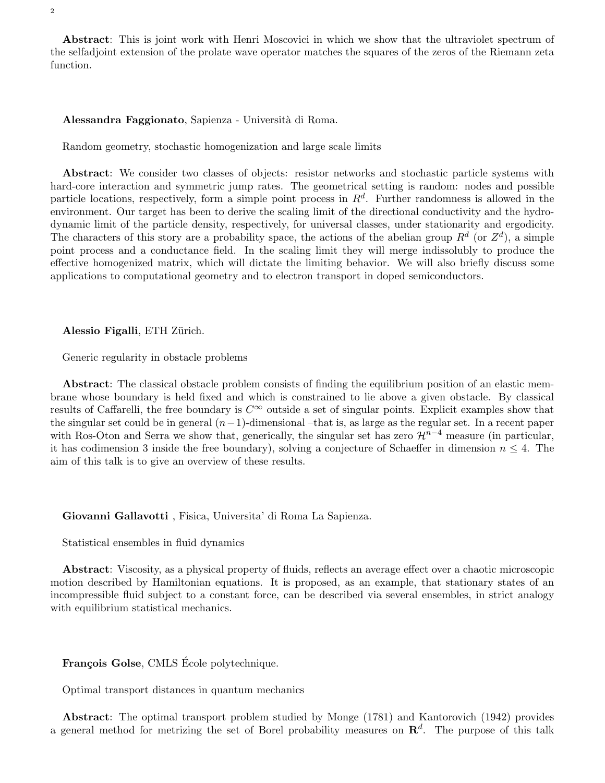Abstract: This is joint work with Henri Moscovici in which we show that the ultraviolet spectrum of the selfadjoint extension of the prolate wave operator matches the squares of the zeros of the Riemann zeta function.

#### Alessandra Faggionato, Sapienza - Università di Roma.

Random geometry, stochastic homogenization and large scale limits

Abstract: We consider two classes of objects: resistor networks and stochastic particle systems with hard-core interaction and symmetric jump rates. The geometrical setting is random: nodes and possible particle locations, respectively, form a simple point process in  $R<sup>d</sup>$ . Further randomness is allowed in the environment. Our target has been to derive the scaling limit of the directional conductivity and the hydrodynamic limit of the particle density, respectively, for universal classes, under stationarity and ergodicity. The characters of this story are a probability space, the actions of the abelian group  $R^d$  (or  $Z^d$ ), a simple point process and a conductance field. In the scaling limit they will merge indissolubly to produce the effective homogenized matrix, which will dictate the limiting behavior. We will also briefly discuss some applications to computational geometry and to electron transport in doped semiconductors.

Alessio Figalli, ETH Zürich.

Generic regularity in obstacle problems

Abstract: The classical obstacle problem consists of finding the equilibrium position of an elastic membrane whose boundary is held fixed and which is constrained to lie above a given obstacle. By classical results of Caffarelli, the free boundary is  $C^{\infty}$  outside a set of singular points. Explicit examples show that the singular set could be in general  $(n-1)$ -dimensional –that is, as large as the regular set. In a recent paper with Ros-Oton and Serra we show that, generically, the singular set has zero  $\mathcal{H}^{n-4}$  measure (in particular, it has codimension 3 inside the free boundary), solving a conjecture of Schaeffer in dimension  $n \leq 4$ . The aim of this talk is to give an overview of these results.

Giovanni Gallavotti , Fisica, Universita' di Roma La Sapienza.

Statistical ensembles in fluid dynamics

Abstract: Viscosity, as a physical property of fluids, reflects an average effect over a chaotic microscopic motion described by Hamiltonian equations. It is proposed, as an example, that stationary states of an incompressible fluid subject to a constant force, can be described via several ensembles, in strict analogy with equilibrium statistical mechanics.

François Golse, CMLS Ecole polytechnique.

Optimal transport distances in quantum mechanics

Abstract: The optimal transport problem studied by Monge (1781) and Kantorovich (1942) provides a general method for metrizing the set of Borel probability measures on  $\mathbb{R}^d$ . The purpose of this talk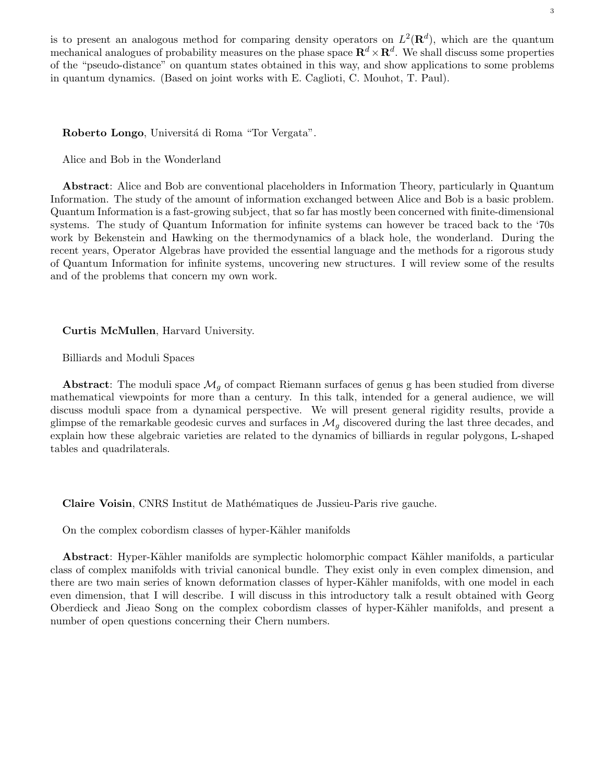is to present an analogous method for comparing density operators on  $L^2(\mathbf{R}^d)$ , which are the quantum mechanical analogues of probability measures on the phase space  $\mathbf{R}^d\times\mathbf{R}^d$ . We shall discuss some properties of the "pseudo-distance" on quantum states obtained in this way, and show applications to some problems in quantum dynamics. (Based on joint works with E. Caglioti, C. Mouhot, T. Paul).

Roberto Longo, Universitá di Roma "Tor Vergata".

Alice and Bob in the Wonderland

Abstract: Alice and Bob are conventional placeholders in Information Theory, particularly in Quantum Information. The study of the amount of information exchanged between Alice and Bob is a basic problem. Quantum Information is a fast-growing subject, that so far has mostly been concerned with finite-dimensional systems. The study of Quantum Information for infinite systems can however be traced back to the '70s work by Bekenstein and Hawking on the thermodynamics of a black hole, the wonderland. During the recent years, Operator Algebras have provided the essential language and the methods for a rigorous study of Quantum Information for infinite systems, uncovering new structures. I will review some of the results and of the problems that concern my own work.

#### Curtis McMullen, Harvard University.

Billiards and Moduli Spaces

Abstract: The moduli space  $\mathcal{M}_q$  of compact Riemann surfaces of genus g has been studied from diverse mathematical viewpoints for more than a century. In this talk, intended for a general audience, we will discuss moduli space from a dynamical perspective. We will present general rigidity results, provide a glimpse of the remarkable geodesic curves and surfaces in  $\mathcal{M}_q$  discovered during the last three decades, and explain how these algebraic varieties are related to the dynamics of billiards in regular polygons, L-shaped tables and quadrilaterals.

Claire Voisin, CNRS Institut de Mathématiques de Jussieu-Paris rive gauche.

On the complex cobordism classes of hyper-Kähler manifolds

Abstract: Hyper-Kähler manifolds are symplectic holomorphic compact Kähler manifolds, a particular class of complex manifolds with trivial canonical bundle. They exist only in even complex dimension, and there are two main series of known deformation classes of hyper-Kähler manifolds, with one model in each even dimension, that I will describe. I will discuss in this introductory talk a result obtained with Georg Oberdieck and Jieao Song on the complex cobordism classes of hyper-Kähler manifolds, and present a number of open questions concerning their Chern numbers.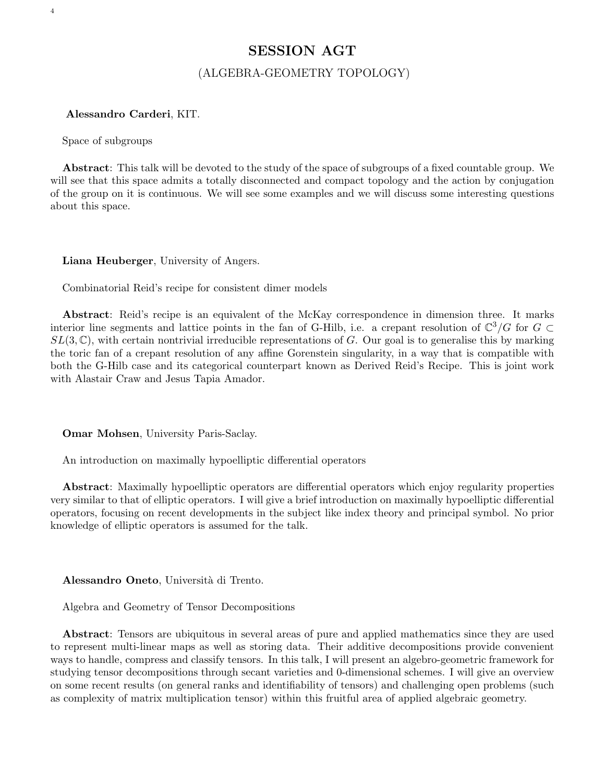## SESSION AGT

## (ALGEBRA-GEOMETRY TOPOLOGY)

#### Alessandro Carderi, KIT.

Space of subgroups

4

Abstract: This talk will be devoted to the study of the space of subgroups of a fixed countable group. We will see that this space admits a totally disconnected and compact topology and the action by conjugation of the group on it is continuous. We will see some examples and we will discuss some interesting questions about this space.

#### Liana Heuberger, University of Angers.

Combinatorial Reid's recipe for consistent dimer models

Abstract: Reid's recipe is an equivalent of the McKay correspondence in dimension three. It marks interior line segments and lattice points in the fan of G-Hilb, i.e. a crepant resolution of  $\mathbb{C}^3/G$  for  $G \subset$  $SL(3,\mathbb{C})$ , with certain nontrivial irreducible representations of G. Our goal is to generalise this by marking the toric fan of a crepant resolution of any affine Gorenstein singularity, in a way that is compatible with both the G-Hilb case and its categorical counterpart known as Derived Reid's Recipe. This is joint work with Alastair Craw and Jesus Tapia Amador.

Omar Mohsen, University Paris-Saclay.

An introduction on maximally hypoelliptic differential operators

Abstract: Maximally hypoelliptic operators are differential operators which enjoy regularity properties very similar to that of elliptic operators. I will give a brief introduction on maximally hypoelliptic differential operators, focusing on recent developments in the subject like index theory and principal symbol. No prior knowledge of elliptic operators is assumed for the talk.

Alessandro Oneto, Università di Trento.

Algebra and Geometry of Tensor Decompositions

Abstract: Tensors are ubiquitous in several areas of pure and applied mathematics since they are used to represent multi-linear maps as well as storing data. Their additive decompositions provide convenient ways to handle, compress and classify tensors. In this talk, I will present an algebro-geometric framework for studying tensor decompositions through secant varieties and 0-dimensional schemes. I will give an overview on some recent results (on general ranks and identifiability of tensors) and challenging open problems (such as complexity of matrix multiplication tensor) within this fruitful area of applied algebraic geometry.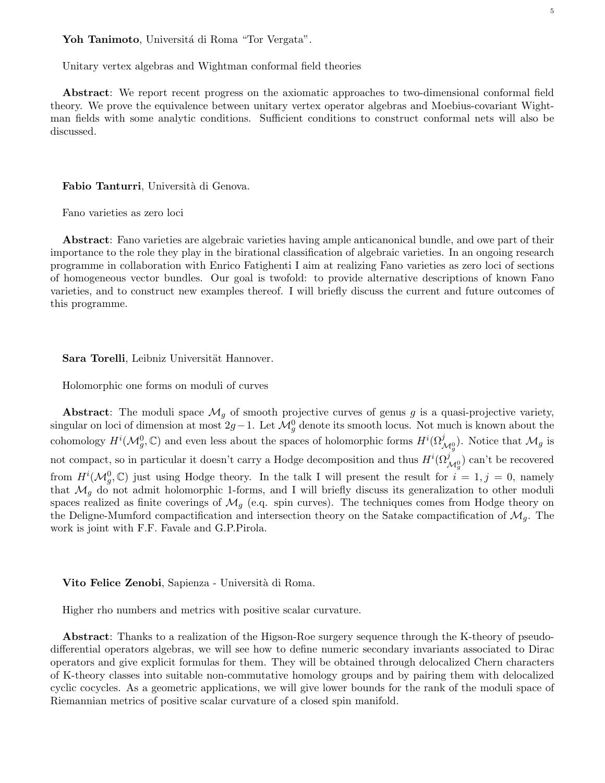#### Yoh Tanimoto, Universitá di Roma "Tor Vergata".

Unitary vertex algebras and Wightman conformal field theories

Abstract: We report recent progress on the axiomatic approaches to two-dimensional conformal field theory. We prove the equivalence between unitary vertex operator algebras and Moebius-covariant Wightman fields with some analytic conditions. Sufficient conditions to construct conformal nets will also be discussed.

5

#### Fabio Tanturri, Università di Genova.

Fano varieties as zero loci

Abstract: Fano varieties are algebraic varieties having ample anticanonical bundle, and owe part of their importance to the role they play in the birational classification of algebraic varieties. In an ongoing research programme in collaboration with Enrico Fatighenti I aim at realizing Fano varieties as zero loci of sections of homogeneous vector bundles. Our goal is twofold: to provide alternative descriptions of known Fano varieties, and to construct new examples thereof. I will briefly discuss the current and future outcomes of this programme.

Sara Torelli, Leibniz Universität Hannover.

Holomorphic one forms on moduli of curves

Abstract: The moduli space  $\mathcal{M}_q$  of smooth projective curves of genus g is a quasi-projective variety, singular on loci of dimension at most  $2g-1$ . Let  $\mathcal{M}_g^0$  denote its smooth locus. Not much is known about the cohomology  $H^i(\mathcal{M}_g^0, \mathbb{C})$  and even less about the spaces of holomorphic forms  $H^i(\Omega^j_{\mathcal{M}_g^0})$ . Notice that  $\mathcal{M}_g$  is not compact, so in particular it doesn't carry a Hodge decomposition and thus  $H^i(\Omega_{\mathcal{M}_g^0}^j)$  can't be recovered from  $H^{i}(\mathcal{M}_{g}^{0},\mathbb{C})$  just using Hodge theory. In the talk I will present the result for  $i=1,j=0$ , namely that  $\mathcal{M}_q$  do not admit holomorphic 1-forms, and I will briefly discuss its generalization to other moduli spaces realized as finite coverings of  $\mathcal{M}_g$  (e.q. spin curves). The techniques comes from Hodge theory on the Deligne-Mumford compactification and intersection theory on the Satake compactification of  $\mathcal{M}_q$ . The work is joint with F.F. Favale and G.P.Pirola.

#### Vito Felice Zenobi, Sapienza - Università di Roma.

Higher rho numbers and metrics with positive scalar curvature.

Abstract: Thanks to a realization of the Higson-Roe surgery sequence through the K-theory of pseudodifferential operators algebras, we will see how to define numeric secondary invariants associated to Dirac operators and give explicit formulas for them. They will be obtained through delocalized Chern characters of K-theory classes into suitable non-commutative homology groups and by pairing them with delocalized cyclic cocycles. As a geometric applications, we will give lower bounds for the rank of the moduli space of Riemannian metrics of positive scalar curvature of a closed spin manifold.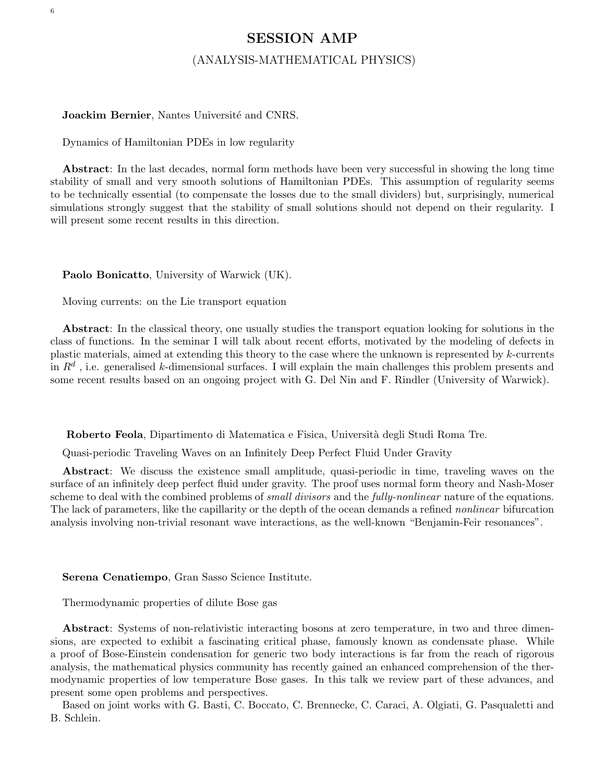## SESSION AMP

### (ANALYSIS-MATHEMATICAL PHYSICS)

#### Joackim Bernier, Nantes Université and CNRS.

Dynamics of Hamiltonian PDEs in low regularity

Abstract: In the last decades, normal form methods have been very successful in showing the long time stability of small and very smooth solutions of Hamiltonian PDEs. This assumption of regularity seems to be technically essential (to compensate the losses due to the small dividers) but, surprisingly, numerical simulations strongly suggest that the stability of small solutions should not depend on their regularity. I will present some recent results in this direction.

Paolo Bonicatto, University of Warwick (UK).

Moving currents: on the Lie transport equation

Abstract: In the classical theory, one usually studies the transport equation looking for solutions in the class of functions. In the seminar I will talk about recent efforts, motivated by the modeling of defects in plastic materials, aimed at extending this theory to the case where the unknown is represented by k-currents in  $R^d$ , i.e. generalised k-dimensional surfaces. I will explain the main challenges this problem presents and some recent results based on an ongoing project with G. Del Nin and F. Rindler (University of Warwick).

Roberto Feola, Dipartimento di Matematica e Fisica, Universit`a degli Studi Roma Tre.

Quasi-periodic Traveling Waves on an Infinitely Deep Perfect Fluid Under Gravity

Abstract: We discuss the existence small amplitude, quasi-periodic in time, traveling waves on the surface of an infinitely deep perfect fluid under gravity. The proof uses normal form theory and Nash-Moser scheme to deal with the combined problems of *small divisors* and the *fully-nonlinear* nature of the equations. The lack of parameters, like the capillarity or the depth of the ocean demands a refined *nonlinear* bifurcation analysis involving non-trivial resonant wave interactions, as the well-known "Benjamin-Feir resonances".

Serena Cenatiempo, Gran Sasso Science Institute.

Thermodynamic properties of dilute Bose gas

Abstract: Systems of non-relativistic interacting bosons at zero temperature, in two and three dimensions, are expected to exhibit a fascinating critical phase, famously known as condensate phase. While a proof of Bose-Einstein condensation for generic two body interactions is far from the reach of rigorous analysis, the mathematical physics community has recently gained an enhanced comprehension of the thermodynamic properties of low temperature Bose gases. In this talk we review part of these advances, and present some open problems and perspectives.

Based on joint works with G. Basti, C. Boccato, C. Brennecke, C. Caraci, A. Olgiati, G. Pasqualetti and B. Schlein.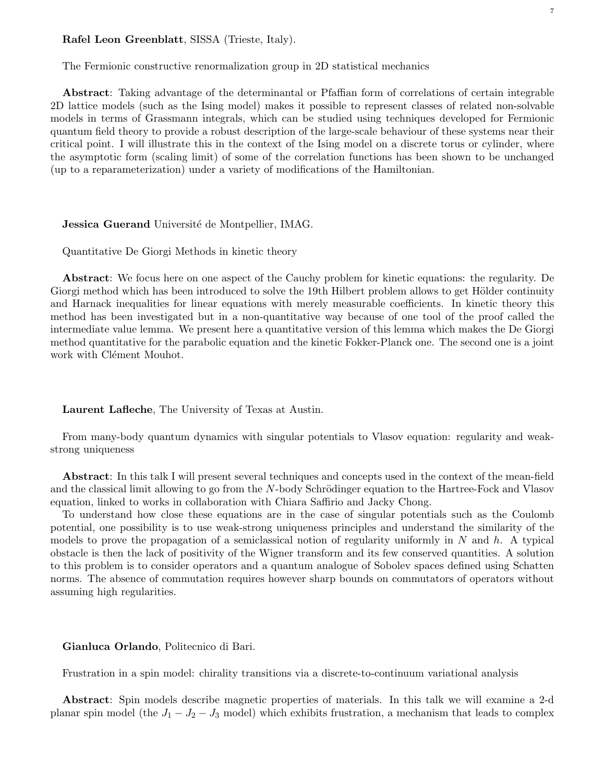#### Rafel Leon Greenblatt, SISSA (Trieste, Italy).

The Fermionic constructive renormalization group in 2D statistical mechanics

Abstract: Taking advantage of the determinantal or Pfaffian form of correlations of certain integrable 2D lattice models (such as the Ising model) makes it possible to represent classes of related non-solvable models in terms of Grassmann integrals, which can be studied using techniques developed for Fermionic quantum field theory to provide a robust description of the large-scale behaviour of these systems near their critical point. I will illustrate this in the context of the Ising model on a discrete torus or cylinder, where the asymptotic form (scaling limit) of some of the correlation functions has been shown to be unchanged (up to a reparameterization) under a variety of modifications of the Hamiltonian.

#### **Jessica Guerand** Université de Montpellier, IMAG.

Quantitative De Giorgi Methods in kinetic theory

Abstract: We focus here on one aspect of the Cauchy problem for kinetic equations: the regularity. De Giorgi method which has been introduced to solve the 19th Hilbert problem allows to get Hölder continuity and Harnack inequalities for linear equations with merely measurable coefficients. In kinetic theory this method has been investigated but in a non-quantitative way because of one tool of the proof called the intermediate value lemma. We present here a quantitative version of this lemma which makes the De Giorgi method quantitative for the parabolic equation and the kinetic Fokker-Planck one. The second one is a joint work with Clément Mouhot.

Laurent Lafleche, The University of Texas at Austin.

From many-body quantum dynamics with singular potentials to Vlasov equation: regularity and weakstrong uniqueness

Abstract: In this talk I will present several techniques and concepts used in the context of the mean-field and the classical limit allowing to go from the  $N$ -body Schrödinger equation to the Hartree-Fock and Vlasov equation, linked to works in collaboration with Chiara Saffirio and Jacky Chong.

To understand how close these equations are in the case of singular potentials such as the Coulomb potential, one possibility is to use weak-strong uniqueness principles and understand the similarity of the models to prove the propagation of a semiclassical notion of regularity uniformly in  $N$  and  $h$ . A typical obstacle is then the lack of positivity of the Wigner transform and its few conserved quantities. A solution to this problem is to consider operators and a quantum analogue of Sobolev spaces defined using Schatten norms. The absence of commutation requires however sharp bounds on commutators of operators without assuming high regularities.

#### Gianluca Orlando, Politecnico di Bari.

Frustration in a spin model: chirality transitions via a discrete-to-continuum variational analysis

Abstract: Spin models describe magnetic properties of materials. In this talk we will examine a 2-d planar spin model (the  $J_1 - J_2 - J_3$  model) which exhibits frustration, a mechanism that leads to complex